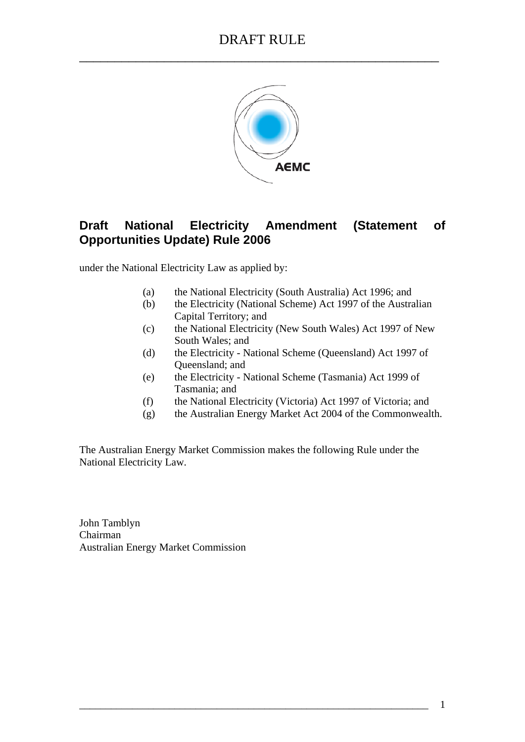

# **Draft National Electricity Amendment (Statement of Opportunities Update) Rule 2006**

under the National Electricity Law as applied by:

- (a) the National Electricity (South Australia) Act 1996; and
- (b) the Electricity (National Scheme) Act 1997 of the Australian Capital Territory; and
- (c) the National Electricity (New South Wales) Act 1997 of New South Wales; and
- (d) the Electricity National Scheme (Queensland) Act 1997 of Queensland; and
- (e) the Electricity National Scheme (Tasmania) Act 1999 of Tasmania; and
- (f) the National Electricity (Victoria) Act 1997 of Victoria; and
- (g) the Australian Energy Market Act 2004 of the Commonwealth.

The Australian Energy Market Commission makes the following Rule under the National Electricity Law.

John Tamblyn Chairman Australian Energy Market Commission

\_\_\_\_\_\_\_\_\_\_\_\_\_\_\_\_\_\_\_\_\_\_\_\_\_\_\_\_\_\_\_\_\_\_\_\_\_\_\_\_\_\_\_\_\_\_\_\_\_\_\_\_\_\_\_\_\_\_\_\_\_\_\_\_\_\_ 1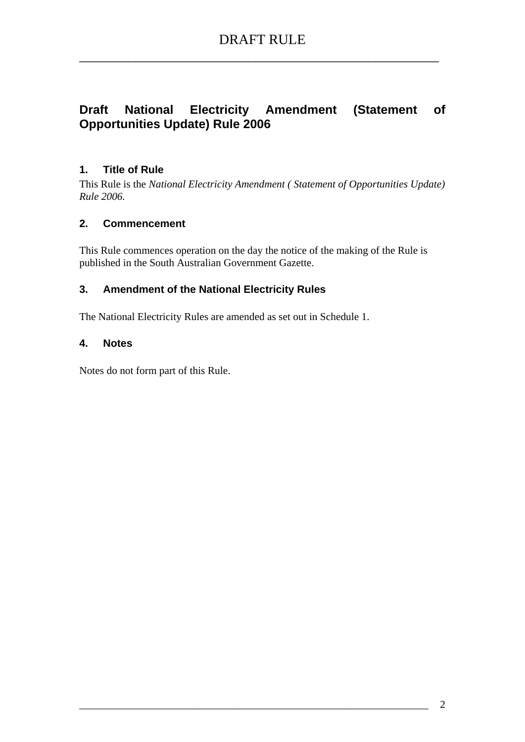# **Draft National Electricity Amendment (Statement of Opportunities Update) Rule 2006**

# **1. Title of Rule**

This Rule is the *National Electricity Amendment ( Statement of Opportunities Update) Rule 2006.* 

#### **2. Commencement**

This Rule commences operation on the day the notice of the making of the Rule is published in the South Australian Government Gazette.

# **3. Amendment of the National Electricity Rules**

The National Electricity Rules are amended as set out in Schedule 1.

#### **4. Notes**

Notes do not form part of this Rule.